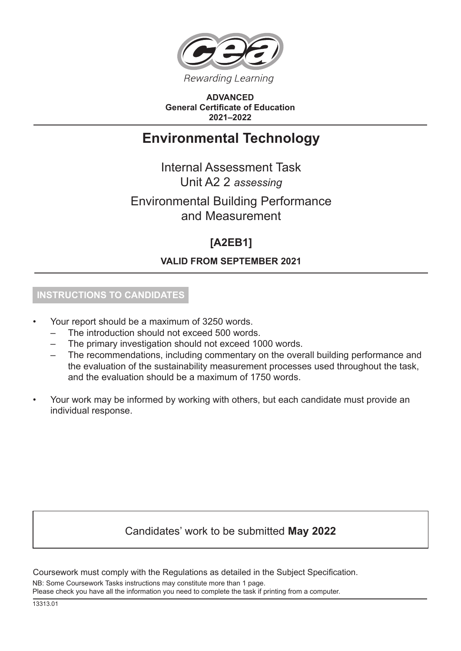

**ADVANCED General Certificate of Education 2021–2022**

# **Environmental Technology**

Internal Assessment Task Unit A2 2 *assessing*

# Environmental Building Performance and Measurement

# **[A2EB1]**

## **VALID FROM SEPTEMBER 2021**

## **INSTRUCTIONS TO CANDIDATES**

- Your report should be a maximum of 3250 words.
	- The introduction should not exceed 500 words.
	- The primary investigation should not exceed 1000 words.
	- The recommendations, including commentary on the overall building performance and the evaluation of the sustainability measurement processes used throughout the task, and the evaluation should be a maximum of 1750 words.
- Your work may be informed by working with others, but each candidate must provide an individual response.

## Candidates' work to be submitted **May 2022**

Coursework must comply with the Regulations as detailed in the Subject Specification.

NB: Some Coursework Tasks instructions may constitute more than 1 page.

Please check you have all the information you need to complete the task if printing from a computer.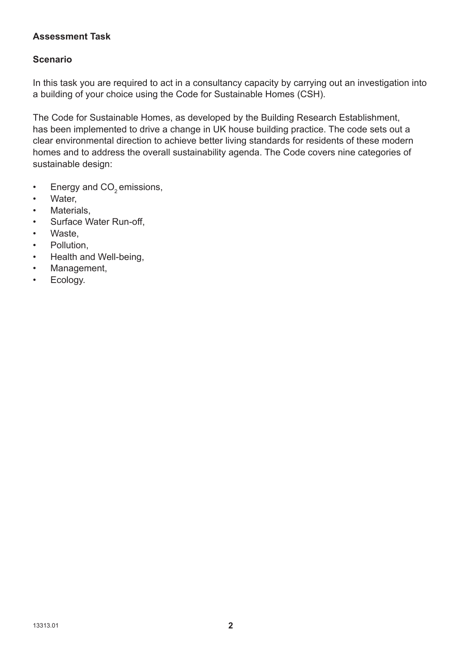#### **Assessment Task**

#### **Scenario**

In this task you are required to act in a consultancy capacity by carrying out an investigation into a building of your choice using the Code for Sustainable Homes (CSH).

The Code for Sustainable Homes, as developed by the Building Research Establishment, has been implemented to drive a change in UK house building practice. The code sets out a clear environmental direction to achieve better living standards for residents of these modern homes and to address the overall sustainability agenda. The Code covers nine categories of sustainable design:

- Energy and  $CO<sub>2</sub>$  emissions,<br>• Water
- Water,
- Materials,
- Surface Water Run-off,
- Waste,
- Pollution,
- Health and Well-being,
- Management,
- Ecology.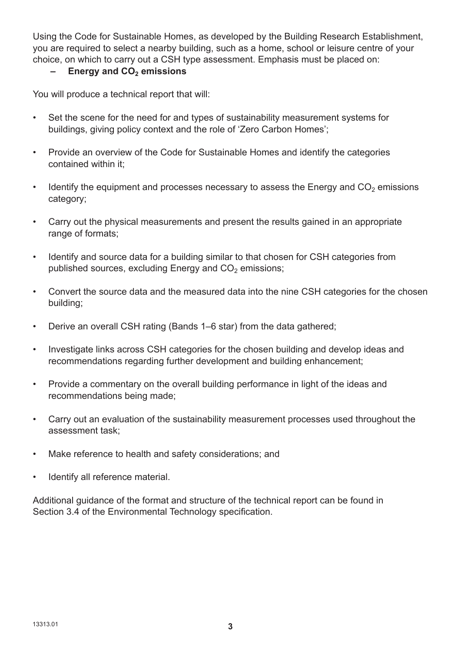Using the Code for Sustainable Homes, as developed by the Building Research Establishment, you are required to select a nearby building, such as a home, school or leisure centre of your choice, on which to carry out a CSH type assessment. Emphasis must be placed on:

#### **-** Energy and CO<sub>2</sub> emissions

You will produce a technical report that will:

- Set the scene for the need for and types of sustainability measurement systems for buildings, giving policy context and the role of 'Zero Carbon Homes';
- Provide an overview of the Code for Sustainable Homes and identify the categories contained within it;
- Identify the equipment and processes necessary to assess the Energy and  $CO<sub>2</sub>$  emissions category;
- Carry out the physical measurements and present the results gained in an appropriate range of formats:
- Identify and source data for a building similar to that chosen for CSH categories from published sources, excluding Energy and  $CO<sub>2</sub>$  emissions;
- Convert the source data and the measured data into the nine CSH categories for the chosen building;
- Derive an overall CSH rating (Bands 1–6 star) from the data gathered;
- Investigate links across CSH categories for the chosen building and develop ideas and recommendations regarding further development and building enhancement;
- Provide a commentary on the overall building performance in light of the ideas and recommendations being made;
- Carry out an evaluation of the sustainability measurement processes used throughout the assessment task;
- Make reference to health and safety considerations; and
- Identify all reference material.

Additional guidance of the format and structure of the technical report can be found in Section 3.4 of the Environmental Technology specification.